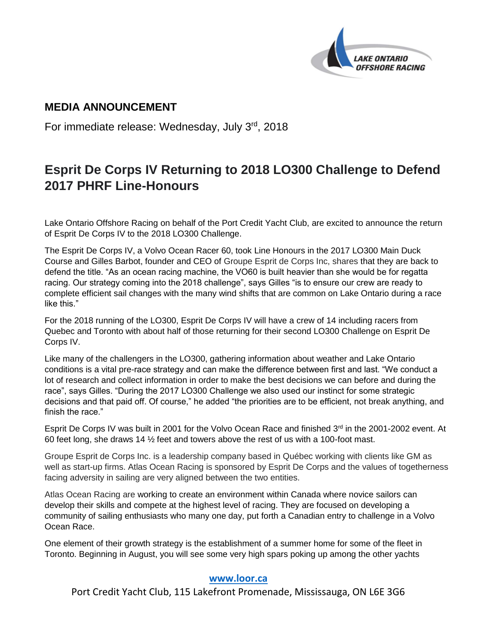

# **MEDIA ANNOUNCEMENT**

For immediate release: Wednesday, July 3rd, 2018

# **Esprit De Corps IV Returning to 2018 LO300 Challenge to Defend 2017 PHRF Line-Honours**

Lake Ontario Offshore Racing on behalf of the Port Credit Yacht Club, are excited to announce the return of Esprit De Corps IV to the 2018 LO300 Challenge.

The Esprit De Corps IV, a Volvo Ocean Racer 60, took Line Honours in the 2017 LO300 Main Duck Course and Gilles Barbot, founder and CEO of Groupe Esprit de Corps Inc, shares that they are back to defend the title. "As an ocean racing machine, the VO60 is built heavier than she would be for regatta racing. Our strategy coming into the 2018 challenge", says Gilles "is to ensure our crew are ready to complete efficient sail changes with the many wind shifts that are common on Lake Ontario during a race like this."

For the 2018 running of the LO300, Esprit De Corps IV will have a crew of 14 including racers from Quebec and Toronto with about half of those returning for their second LO300 Challenge on Esprit De Corps IV.

Like many of the challengers in the LO300, gathering information about weather and Lake Ontario conditions is a vital pre-race strategy and can make the difference between first and last. "We conduct a lot of research and collect information in order to make the best decisions we can before and during the race", says Gilles. "During the 2017 LO300 Challenge we also used our instinct for some strategic decisions and that paid off. Of course," he added "the priorities are to be efficient, not break anything, and finish the race."

Esprit De Corps IV was built in 2001 for the Volvo Ocean Race and finished 3rd in the 2001-2002 event. At 60 feet long, she draws 14 ½ feet and towers above the rest of us with a 100-foot mast.

Groupe Esprit de Corps Inc. is a leadership company based in Québec working with clients like GM as well as start-up firms. Atlas Ocean Racing is sponsored by Esprit De Corps and the values of togetherness facing adversity in sailing are very aligned between the two entities.

Atlas Ocean Racing are working to create an environment within Canada where novice sailors can develop their skills and compete at the highest level of racing. They are focused on developing a community of sailing enthusiasts who many one day, put forth a Canadian entry to challenge in a Volvo Ocean Race.

One element of their growth strategy is the establishment of a summer home for some of the fleet in Toronto. Beginning in August, you will see some very high spars poking up among the other yachts

## **[www.loor.ca](../../../../../../../../../../User/AppData/Local/Microsoft/Windows/Temporary%20Internet%20Files/Content.IE5/LPBV5RDO/www.loor.ca)**

Port Credit Yacht Club, 115 Lakefront Promenade, Mississauga, ON L6E 3G6